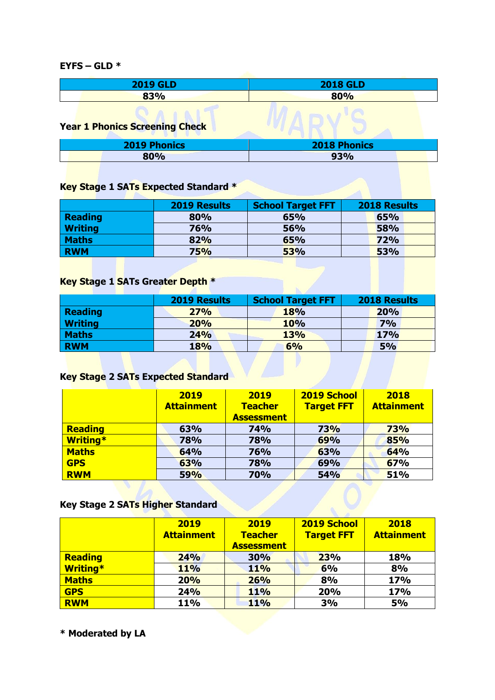**EYFS – GLD \***

| <b>2019 GLD</b>                       | <b>2018 GLD</b>     |  |
|---------------------------------------|---------------------|--|
| 83%                                   | 80%                 |  |
| <b>Year 1 Phonics Screening Check</b> |                     |  |
| <b>2019 Phonics</b>                   | <b>2018 Phonics</b> |  |
| 80%                                   | 93%                 |  |

#### **Key Stage 1 SATs Expected Standard \***

|                | <b>2019 Results</b> | <b>School Target FFT</b> | <b>2018 Results</b> |
|----------------|---------------------|--------------------------|---------------------|
| Reading        | 80%                 | 65%                      | 65%                 |
| <b>Writing</b> | 76%                 | 56%                      | 58%                 |
| <b>Maths</b>   | 82%                 | 65%                      | 72%                 |
| <b>RWM</b>     | <b>75%</b>          | 53%                      | 53%                 |

### **Key Stage 1 SATs Greater Depth \***

|                | <b>2019 Results</b> | <b>School Target FFT</b> | <b>2018 Results</b> |
|----------------|---------------------|--------------------------|---------------------|
| <b>Reading</b> | 27%                 | 18%                      | 20%                 |
| <b>Writing</b> | <b>20%</b>          | 10%                      | 7%                  |
| <b>Maths</b>   | 24%                 | 13%                      | <b>17%</b>          |
| <b>RWM</b>     | <b>18%</b>          | 6%                       | 5%                  |
|                |                     |                          |                     |

# **Key Stage 2 SATs Expected Standard**

|                 | 2019              | 2019              | 2019 School       | 2018              |
|-----------------|-------------------|-------------------|-------------------|-------------------|
|                 | <b>Attainment</b> | <b>Teacher</b>    | <b>Target FFT</b> | <b>Attainment</b> |
|                 |                   | <b>Assessment</b> |                   |                   |
| <b>Reading</b>  | 63%               | <b>74%</b>        | <b>73%</b>        | <b>73%</b>        |
| <b>Writing*</b> | <b>78%</b>        | 78%               | 69%               | 85%               |
| <b>Maths</b>    | 64%               | 76%               | 63%               | 64%               |
| <b>GPS</b>      | 63%               | 78%               | 69%               | 67%               |
| <b>RWM</b>      | 59%               | <b>70%</b>        | <b>54%</b>        | 51%               |

### **Key Stage 2 SATs Higher Standard**

|                 | 2019              | 2019              | 2019 School       | 2018              |
|-----------------|-------------------|-------------------|-------------------|-------------------|
|                 | <b>Attainment</b> | <b>Teacher</b>    | <b>Target FFT</b> | <b>Attainment</b> |
|                 |                   | <b>Assessment</b> |                   |                   |
| Reading         | 24%               | 30%               | 23%               | 18%               |
| <b>Writing*</b> | <b>11%</b>        | <b>11%</b>        | 6%                | 8%                |
| Maths           | 20%               | 26%               | 8%                | 17%               |
| <b>GPS</b>      | 24%               | <b>11%</b>        | 20%               | 17%               |
| <b>RWM</b>      | 11%               | <b>11%</b>        | 3%                | <b>5%</b>         |

**\* Moderated by LA**